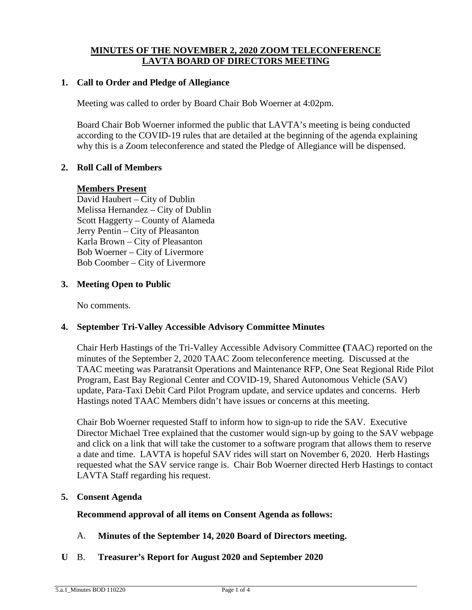### **MINUTES OF THE NOVEMBER 2, 2020 ZOOM TELECONFERENCE LAVTA BOARD OF DIRECTORS MEETING**

### **1. Call to Order and Pledge of Allegiance**

Meeting was called to order by Board Chair Bob Woerner at 4:02pm.

Board Chair Bob Woerner informed the public that LAVTA's meeting is being conducted according to the COVID-19 rules that are detailed at the beginning of the agenda explaining why this is a Zoom teleconference and stated the Pledge of Allegiance will be dispensed.

### **2. Roll Call of Members**

#### **Members Present**

David Haubert – City of Dublin Melissa Hernandez – City of Dublin Scott Haggerty – County of Alameda Jerry Pentin – City of Pleasanton Karla Brown – City of Pleasanton Bob Woerner – City of Livermore Bob Coomber – City of Livermore

#### **3. Meeting Open to Public**

No comments.

#### **4. September Tri-Valley Accessible Advisory Committee Minutes**

Chair Herb Hastings of the Tri-Valley Accessible Advisory Committee **(**TAAC) reported on the minutes of the September 2, 2020 TAAC Zoom teleconference meeting. Discussed at the TAAC meeting was Paratransit Operations and Maintenance RFP, One Seat Regional Ride Pilot Program, East Bay Regional Center and COVID-19, Shared Autonomous Vehicle (SAV) update, Para-Taxi Debit Card Pilot Program update, and service updates and concerns. Herb Hastings noted TAAC Members didn't have issues or concerns at this meeting.

Chair Bob Woerner requested Staff to inform how to sign-up to ride the SAV. Executive Director Michael Tree explained that the customer would sign-up by going to the SAV webpage and click on a link that will take the customer to a software program that allows them to reserve a date and time. LAVTA is hopeful SAV rides will start on November 6, 2020. Herb Hastings requested what the SAV service range is. Chair Bob Woerner directed Herb Hastings to contact LAVTA Staff regarding his request.

#### **5. Consent Agenda**

**Recommend approval of all items on Consent Agenda as follows:**

- A. **Minutes of the September 14, 2020 Board of Directors meeting.**
- **U** B. **Treasurer's Report for August 2020 and September 2020**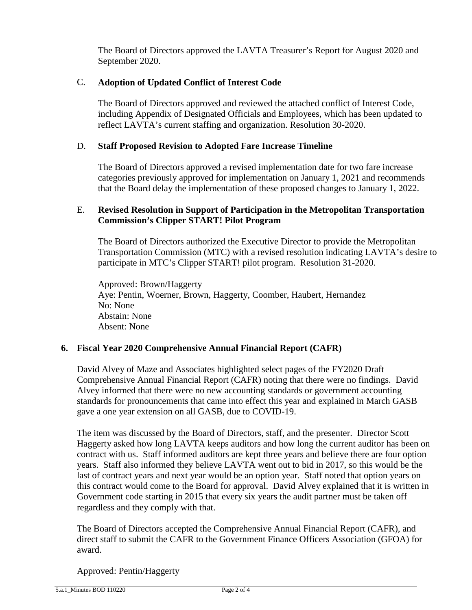The Board of Directors approved the LAVTA Treasurer's Report for August 2020 and September 2020.

# C. **Adoption of Updated Conflict of Interest Code**

The Board of Directors approved and reviewed the attached conflict of Interest Code, including Appendix of Designated Officials and Employees, which has been updated to reflect LAVTA's current staffing and organization. Resolution 30-2020.

# D. **Staff Proposed Revision to Adopted Fare Increase Timeline**

The Board of Directors approved a revised implementation date for two fare increase categories previously approved for implementation on January 1, 2021 and recommends that the Board delay the implementation of these proposed changes to January 1, 2022.

# E. **Revised Resolution in Support of Participation in the Metropolitan Transportation Commission's Clipper START! Pilot Program**

The Board of Directors authorized the Executive Director to provide the Metropolitan Transportation Commission (MTC) with a revised resolution indicating LAVTA's desire to participate in MTC's Clipper START! pilot program. Resolution 31-2020.

Approved: Brown/Haggerty Aye: Pentin, Woerner, Brown, Haggerty, Coomber, Haubert, Hernandez No: None Abstain: None Absent: None

# **6. Fiscal Year 2020 Comprehensive Annual Financial Report (CAFR)**

David Alvey of Maze and Associates highlighted select pages of the FY2020 Draft Comprehensive Annual Financial Report (CAFR) noting that there were no findings. David Alvey informed that there were no new accounting standards or government accounting standards for pronouncements that came into effect this year and explained in March GASB gave a one year extension on all GASB, due to COVID-19.

The item was discussed by the Board of Directors, staff, and the presenter. Director Scott Haggerty asked how long LAVTA keeps auditors and how long the current auditor has been on contract with us. Staff informed auditors are kept three years and believe there are four option years. Staff also informed they believe LAVTA went out to bid in 2017, so this would be the last of contract years and next year would be an option year. Staff noted that option years on this contract would come to the Board for approval. David Alvey explained that it is written in Government code starting in 2015 that every six years the audit partner must be taken off regardless and they comply with that.

The Board of Directors accepted the Comprehensive Annual Financial Report (CAFR), and direct staff to submit the CAFR to the Government Finance Officers Association (GFOA) for award.

Approved: Pentin/Haggerty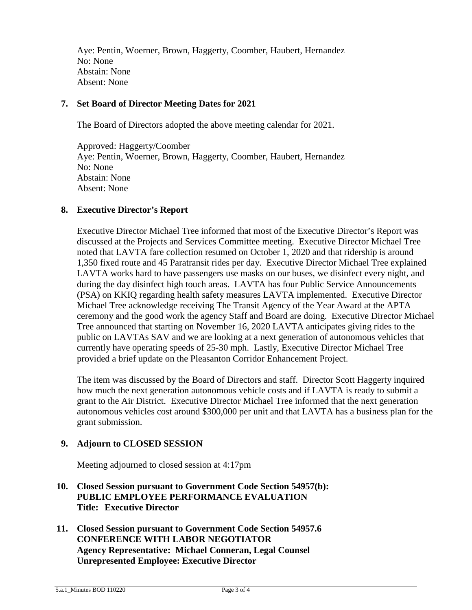Aye: Pentin, Woerner, Brown, Haggerty, Coomber, Haubert, Hernandez No: None Abstain: None Absent: None

#### **7. Set Board of Director Meeting Dates for 2021**

The Board of Directors adopted the above meeting calendar for 2021.

Approved: Haggerty/Coomber Aye: Pentin, Woerner, Brown, Haggerty, Coomber, Haubert, Hernandez No: None Abstain: None Absent: None

### **8. Executive Director's Report**

Executive Director Michael Tree informed that most of the Executive Director's Report was discussed at the Projects and Services Committee meeting. Executive Director Michael Tree noted that LAVTA fare collection resumed on October 1, 2020 and that ridership is around 1,350 fixed route and 45 Paratransit rides per day. Executive Director Michael Tree explained LAVTA works hard to have passengers use masks on our buses, we disinfect every night, and during the day disinfect high touch areas. LAVTA has four Public Service Announcements (PSA) on KKIQ regarding health safety measures LAVTA implemented. Executive Director Michael Tree acknowledge receiving The Transit Agency of the Year Award at the APTA ceremony and the good work the agency Staff and Board are doing. Executive Director Michael Tree announced that starting on November 16, 2020 LAVTA anticipates giving rides to the public on LAVTAs SAV and we are looking at a next generation of autonomous vehicles that currently have operating speeds of 25-30 mph. Lastly, Executive Director Michael Tree provided a brief update on the Pleasanton Corridor Enhancement Project.

The item was discussed by the Board of Directors and staff. Director Scott Haggerty inquired how much the next generation autonomous vehicle costs and if LAVTA is ready to submit a grant to the Air District. Executive Director Michael Tree informed that the next generation autonomous vehicles cost around \$300,000 per unit and that LAVTA has a business plan for the grant submission.

# **9. Adjourn to CLOSED SESSION**

Meeting adjourned to closed session at 4:17pm

- **10. Closed Session pursuant to Government Code Section 54957(b): PUBLIC EMPLOYEE PERFORMANCE EVALUATION Title: Executive Director**
- **11. Closed Session pursuant to Government Code Section 54957.6 CONFERENCE WITH LABOR NEGOTIATOR Agency Representative: Michael Conneran, Legal Counsel Unrepresented Employee: Executive Director**